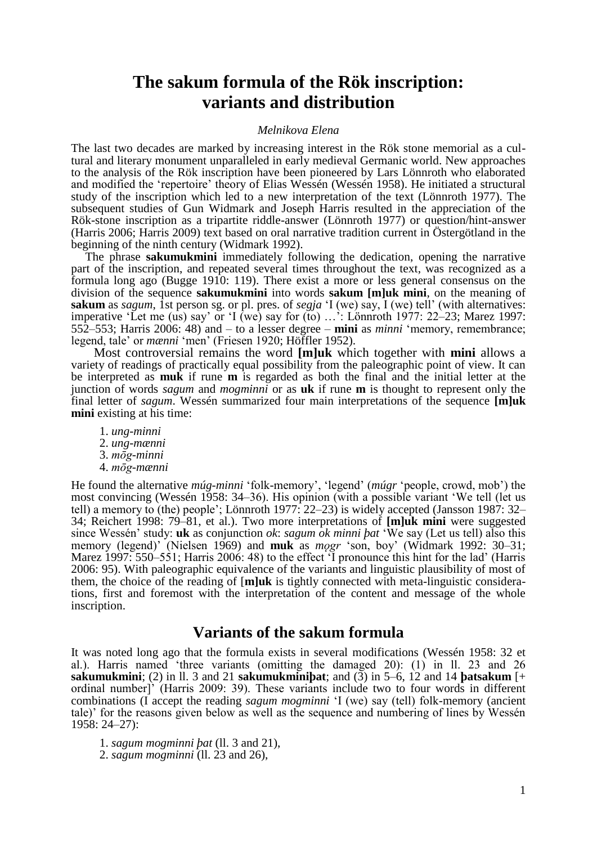# **The sakum formula of the Rök inscription: variants and distribution**

#### *Melnikova Elena*

The last two decades are marked by increasing interest in the Rök stone memorial as a cultural and literary monument unparalleled in early medieval Germanic world. New approaches to the analysis of the Rök inscription have been pioneered by Lars Lönnroth who elaborated and modified the "repertoire" theory of Elias Wessén (Wessén 1958). He initiated a structural study of the inscription which led to a new interpretation of the text (Lönnroth 1977). The subsequent studies of Gun Widmark and Joseph Harris resulted in the appreciation of the Rök-stone inscription as a tripartite riddle-answer (Lönnroth 1977) or question/hint-answer (Harris 2006; Harris 2009) text based on oral narrative tradition current in Östergötland in the beginning of the ninth century (Widmark 1992).

The phrase **sakumukmini** immediately following the dedication, opening the narrative part of the inscription, and repeated several times throughout the text, was recognized as a formula long ago (Bugge 1910: 119). There exist a more or less general consensus on the division of the sequence **sakumukmini** into words **sakum [m]uk mini**, on the meaning of **sakum** as *sagum*, 1st person sg. or pl. pres. of *segja* "I (we) say, I (we) tell" (with alternatives: imperative 'Let me (us) say' or 'I (we) say for (to) ...': Lönnroth 1977: 22–23; Marez 1997: 552–553; Harris 2006: 48) and – to a lesser degree – **mini** as *minni* "memory, remembrance; legend, tale' or *mænni* 'men' (Friesen 1920; Höffler 1952).

Most controversial remains the word **[m]uk** which together with **mini** allows a variety of readings of practically equal possibility from the paleographic point of view. It can be interpreted as **muk** if rune **m** is regarded as both the final and the initial letter at the junction of words *sagum* and *mogminni* or as **uk** if rune **m** is thought to represent only the final letter of *sagum*. Wessén summarized four main interpretations of the sequence **[m]uk mini** existing at his time:

- 1. *ung-minni* 2. *ung-mænni*
- 3. *mōg-minni* 4. *mōg-mænni*

He found the alternative *múg-minni* "folk-memory", "legend" (*múgr* "people, crowd, mob") the most convincing (Wessén 1958: 34–36). His opinion (with a possible variant "We tell (let us tell) a memory to (the) people"; Lönnroth 1977: 22–23) is widely accepted (Jansson 1987: 32– 34; Reichert 1998: 79–81, et al.). Two more interpretations of **[m]uk mini** were suggested since Wessén" study: **uk** as conjunction *ok*: *sagum ok minni þat* "We say (Let us tell) also this memory (legend)" (Nielsen 1969) and **muk** as *mǫgr* "son, boy" (Widmark 1992: 30–31; Marez 1997: 550–551; Harris 2006: 48) to the effect "I pronounce this hint for the lad" (Harris 2006: 95). With paleographic equivalence of the variants and linguistic plausibility of most of them, the choice of the reading of [**m]uk** is tightly connected with meta-linguistic considerations, first and foremost with the interpretation of the content and message of the whole inscription.

## **Variants of the sakum formula**

It was noted long ago that the formula exists in several modifications (Wessén 1958: 32 et al.). Harris named "three variants (omitting the damaged 20): (1) in ll. 23 and 26 **sakumukmini**; (2) in 11. 3 and 21 **sakumukminipat**; and (3) in  $5-6$ , 12 and 14 **batsakum** [+ ordinal number]" (Harris 2009: 39). These variants include two to four words in different combinations (I accept the reading *sagum mogminni* "I (we) say (tell) folk-memory (ancient tale)" for the reasons given below as well as the sequence and numbering of lines by Wessén 1958: 24–27):

1. *sagum mogminni þat* (ll. 3 and 21),

2. *sagum mogminni* (ll. 23 and 26),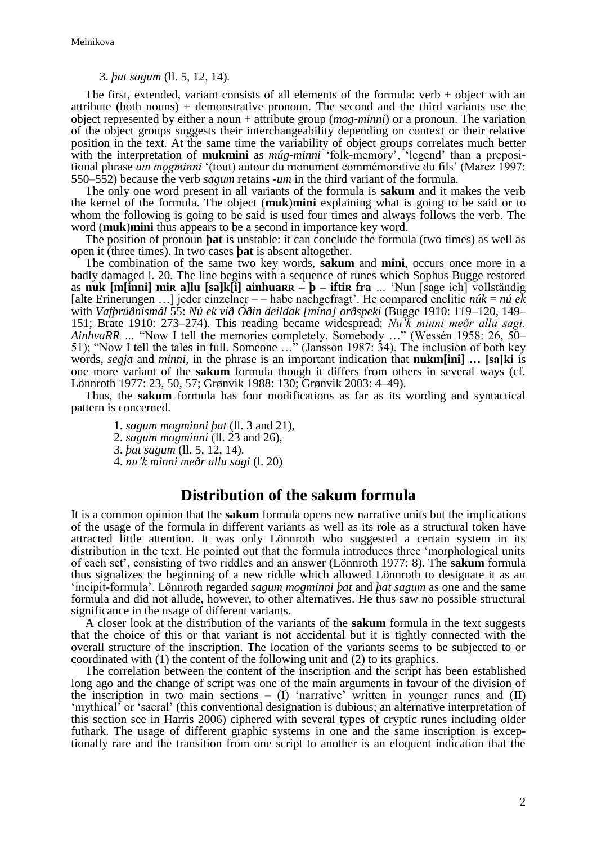#### 3. *þat sagum* (ll. 5, 12, 14)*.*

The first, extended, variant consists of all elements of the formula: verb  $+$  object with an attribute (both nouns) + demonstrative pronoun. The second and the third variants use the object represented by either a noun + attribute group (*mog-minni*) or a pronoun. The variation of the object groups suggests their interchangeability depending on context or their relative position in the text. At the same time the variability of object groups correlates much better with the interpretation of **mukmini** as *múg-minni* 'folk-memory', 'legend' than a prepositional phrase *um mǫgminni* "(tout) autour du monument commémorative du fils" (Marez 1997: 550–552) because the verb *sagum* retains -*um* in the third variant of the formula.

The only one word present in all variants of the formula is **sakum** and it makes the verb the kernel of the formula. The object (**muk**)**mini** explaining what is going to be said or to whom the following is going to be said is used four times and always follows the verb. The word (**muk**)**mini** thus appears to be a second in importance key word.

The position of pronoun **þat** is unstable: it can conclude the formula (two times) as well as open it (three times). In two cases **þat** is absent altogether.

The combination of the same two key words, **sakum** and **mini**, occurs once more in a badly damaged l. 20. The line begins with a sequence of runes which Sophus Bugge restored as **nuk [m[inni] miR a]lu [sa]k[i] ainhuaRR – þ** *–* **iftiR fra** *…* "Nun [sage ich] vollständig [alte Erinerungen …] jeder einzelner – – habe nachgefragt". He compared enclitic *núk* = *nú ek* with *Vafþrúðnismál* 55: *Nú ek við Óðin deildak [mína] orðspeki* (Bugge 1910: 119–120, 149– 151; Brate 1910: 273–274). This reading became widespread: *Nu'k minni meðr allu sagi. AinhvaRR …* "Now I tell the memories completely. Somebody …" (Wessén 1958: 26, 50– 51); "Now I tell the tales in full. Someone …" (Jansson 1987: 34). The inclusion of both key words, *segja* and *minni*, in the phrase is an important indication that **nukm[ini] … [sa]ki** is one more variant of the **sakum** formula though it differs from others in several ways (cf. Lönnroth 1977: 23, 50, 57; Grønvik 1988: 130; Grønvik 2003: 4–49).

Thus, the **sakum** formula has four modifications as far as its wording and syntactical pattern is concerned.

1. *sagum mogminni þat* (ll. 3 and 21),

2. *sagum mogminni* (ll. 23 and 26),

3. *þat sagum* (ll. 5, 12, 14)*.*

4. *nu'k minni meðr allu sagi* (l. 20)

### **Distribution of the sakum formula**

It is a common opinion that the **sakum** formula opens new narrative units but the implications of the usage of the formula in different variants as well as its role as a structural token have attracted little attention. It was only Lönnroth who suggested a certain system in its distribution in the text. He pointed out that the formula introduces three "morphological units of each set", consisting of two riddles and an answer (Lönnroth 1977: 8). The **sakum** formula thus signalizes the beginning of a new riddle which allowed Lönnroth to designate it as an "incipit-formula". Lönnroth regarded *sagum mogminni þat* and *þat sagum* as one and the same formula and did not allude, however, to other alternatives. He thus saw no possible structural significance in the usage of different variants.

A closer look at the distribution of the variants of the **sakum** formula in the text suggests that the choice of this or that variant is not accidental but it is tightly connected with the overall structure of the inscription. The location of the variants seems to be subjected to or coordinated with (1) the content of the following unit and (2) to its graphics.

The correlation between the content of the inscription and the script has been established long ago and the change of script was one of the main arguments in favour of the division of the inscription in two main sections –  $(I)$  'narrative' written in younger runes and  $(II)$ 'mythical' or 'sacral' (this conventional designation is dubious; an alternative interpretation of this section see in Harris 2006) ciphered with several types of cryptic runes including older futhark. The usage of different graphic systems in one and the same inscription is exceptionally rare and the transition from one script to another is an eloquent indication that the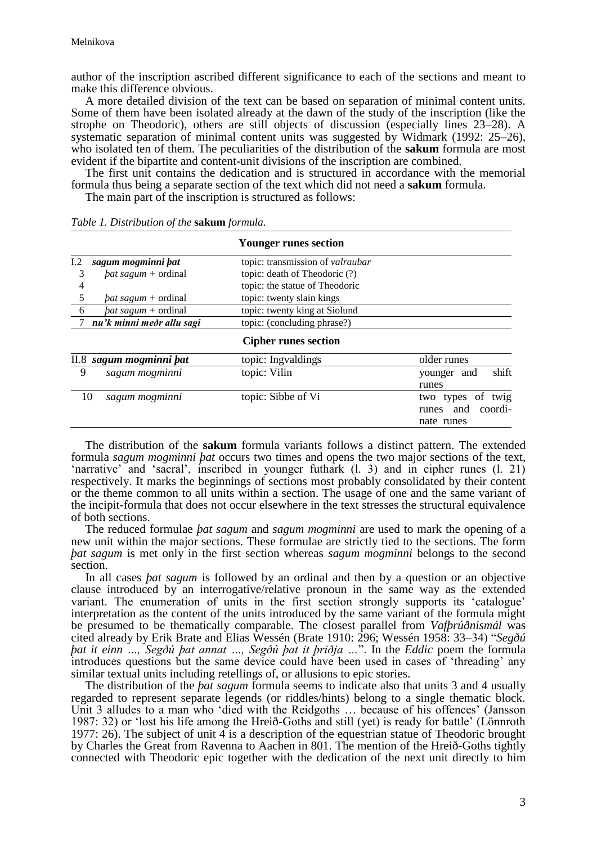author of the inscription ascribed different significance to each of the sections and meant to make this difference obvious.

A more detailed division of the text can be based on separation of minimal content units. Some of them have been isolated already at the dawn of the study of the inscription (like the strophe on Theodoric), others are still objects of discussion (especially lines 23–28). A systematic separation of minimal content units was suggested by Widmark (1992: 25–26), who isolated ten of them. The peculiarities of the distribution of the **sakum** formula are most evident if the bipartite and content-unit divisions of the inscription are combined.

The first unit contains the dedication and is structured in accordance with the memorial formula thus being a separate section of the text which did not need a **sakum** formula.

The main part of the inscription is structured as follows:

|     |                            | <b>Younger runes section</b>     |                                                                  |
|-----|----------------------------|----------------------------------|------------------------------------------------------------------|
| 1.2 | sagum mogminni pat         | topic: transmission of valraubar |                                                                  |
| 3   | <i>bat sagum</i> + ordinal | topic: death of Theodoric (?)    |                                                                  |
| 4   |                            | topic: the statue of Theodoric   |                                                                  |
| 5   | <i>bat sagum</i> + ordinal | topic: twenty slain kings        |                                                                  |
| -6  | $bat\,sagum + ordinal$     | topic: twenty king at Siolund    |                                                                  |
|     | nu'k minni meðr allu sagi  | topic: (concluding phrase?)      |                                                                  |
|     |                            | <b>Cipher runes section</b>      |                                                                  |
|     | II.8 sagum mogminni bat    | topic: Ingvaldings               | older runes                                                      |
| 9   | sagum mogminni             | topic: Vilin                     | shift<br>and<br>younger                                          |
|     |                            |                                  | runes                                                            |
|     | sagum mogminni<br>10       | topic: Sibbe of Vi               | of twig<br>types<br>two<br>and<br>coordi-<br>runes<br>nate runes |

*Table 1. Distribution of the* **sakum** *formula.*

The distribution of the **sakum** formula variants follows a distinct pattern. The extended formula *sagum mogminni þat* occurs two times and opens the two major sections of the text, "narrative" and "sacral", inscribed in younger futhark (l. 3) and in cipher runes (l. 21) respectively. It marks the beginnings of sections most probably consolidated by their content or the theme common to all units within a section. The usage of one and the same variant of the incipit-formula that does not occur elsewhere in the text stresses the structural equivalence of both sections.

The reduced formulae *þat sagum* and *sagum mogminni* are used to mark the opening of a new unit within the major sections. These formulae are strictly tied to the sections. The form *þat sagum* is met only in the first section whereas *sagum mogminni* belongs to the second section.

In all cases *þat sagum* is followed by an ordinal and then by a question or an objective clause introduced by an interrogative/relative pronoun in the same way as the extended variant. The enumeration of units in the first section strongly supports its 'catalogue' interpretation as the content of the units introduced by the same variant of the formula might be presumed to be thematically comparable. The closest parallel from *Vafþrúðnismál* was cited already by Erik Brate and Elias Wessén (Brate 1910: 296; Wessén 1958: 33–34) "*Segðú þat it einn …, Segðú þat annat …, Segðú þat it þriðja …*". In the *Eddic* poem the formula introduces questions but the same device could have been used in cases of "threading" any similar textual units including retellings of, or allusions to epic stories.

The distribution of the *þat sagum* formula seems to indicate also that units 3 and 4 usually regarded to represent separate legends (or riddles/hints) belong to a single thematic block. Unit 3 alludes to a man who 'died with the Reidgoths ... because of his offences' (Jansson 1987: 32) or "lost his life among the Hreið-Goths and still (yet) is ready for battle" (Lönnroth 1977: 26). The subject of unit 4 is a description of the equestrian statue of Theodoric brought by Charles the Great from Ravenna to Aachen in 801. The mention of the Hreið-Goths tightly connected with Theodoric epic together with the dedication of the next unit directly to him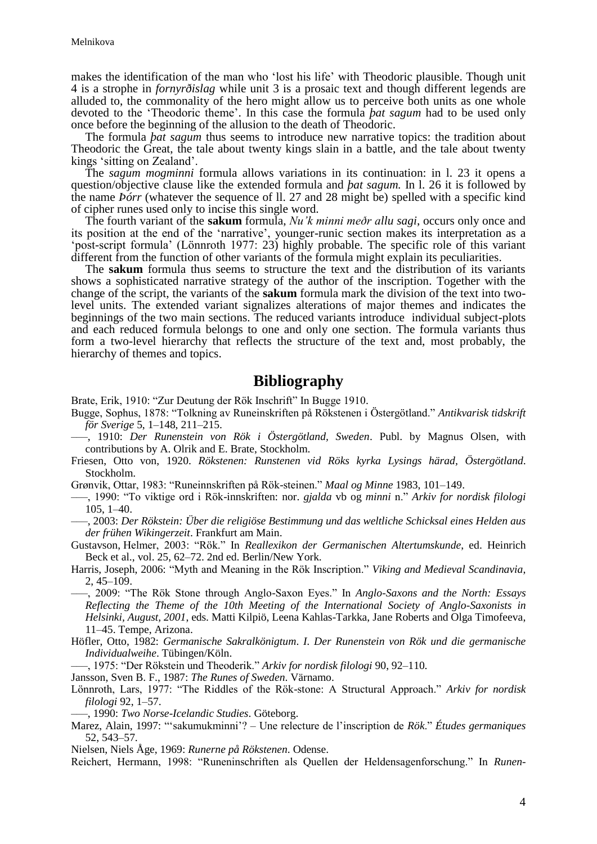makes the identification of the man who "lost his life" with Theodoric plausible. Though unit 4 is a strophe in *fornyrðislag* while unit 3 is a prosaic text and though different legends are alluded to, the commonality of the hero might allow us to perceive both units as one whole devoted to the "Theodoric theme". In this case the formula *þat sagum* had to be used only once before the beginning of the allusion to the death of Theodoric.

The formula *þat sagum* thus seems to introduce new narrative topics: the tradition about Theodoric the Great, the tale about twenty kings slain in a battle, and the tale about twenty kings "sitting on Zealand".

The *sagum mogminni* formula allows variations in its continuation: in l. 23 it opens a question/objective clause like the extended formula and *þat sagum.* In l. 26 it is followed by the name *Þórr* (whatever the sequence of ll. 27 and 28 might be) spelled with a specific kind of cipher runes used only to incise this single word.

The fourth variant of the **sakum** formula, *Nu'k minni meðr allu sagi*, occurs only once and its position at the end of the "narrative", younger-runic section makes its interpretation as a "post-script formula" (Lönnroth 1977: 23) highly probable. The specific role of this variant different from the function of other variants of the formula might explain its peculiarities.

The **sakum** formula thus seems to structure the text and the distribution of its variants shows a sophisticated narrative strategy of the author of the inscription. Together with the change of the script, the variants of the **sakum** formula mark the division of the text into twolevel units. The extended variant signalizes alterations of major themes and indicates the beginnings of the two main sections. The reduced variants introduce individual subject-plots and each reduced formula belongs to one and only one section. The formula variants thus form a two-level hierarchy that reflects the structure of the text and, most probably, the hierarchy of themes and topics.

## **Bibliography**

Brate, Erik, 1910: "Zur Deutung der Rök Inschrift" In Bugge 1910.

- Bugge, Sophus, 1878: "Tolkning av Runeinskriften på Rökstenen i Östergötland." *Antikvarisk tidskrift för Sverige* 5, 1–148, 211–215.
- –––, 1910: *Der Runenstein von Rök i Östergötland, Sweden*. Publ. by Magnus Olsen, with contributions by A. Olrik and E. Brate, Stockholm.
- Friesen, Otto von, 1920. *Rökstenen: Runstenen vid Röks kyrka Lysings härad, Östergötland*. Stockholm.
- Grønvik, Ottar, 1983: "Runeinnskriften på Rök-steinen." *Maal og Minne* 1983, 101–149.
- –––, 1990: "To viktige ord i Rök-innskriften: nor. *gjalda* vb og *minni* n." *Arkiv for nordisk filologi* 105, 1–40.
- –––, 2003: *Der Rökstein: Über die religiöse Bestimmung und das weltliche Schicksal eines Helden aus der frühen Wikingerzeit*. Frankfurt am Main.

Gustavson, Helmer, 2003: "Rök." In *Reallexikon der Germanischen Altertumskunde*, ed. Heinrich Beck et al., vol. 25, 62–72. 2nd ed. Berlin/New York.

- Harris, Joseph, 2006: "Myth and Meaning in the Rök Inscription." *Viking and Medieval Scandinavia*, 2, 45–109.
- –––, 2009: "The Rök Stone through Anglo-Saxon Eyes." In *Anglo-Saxons and the North: Essays Reflecting the Theme of the 10th Meeting of the International Society of Anglo-Saxonists in Helsinki, August, 2001*, eds. Matti Kilpiö, Leena Kahlas-Tarkka, Jane Roberts and Olga Timofeeva, 11–45. Tempe, Arizona.
- Höfler, Otto, 1982: *Germanische Sakralkönigtum*. *I. Der Runenstein von Rök und die germanische Individualweihe*. Tübingen/Köln.
- –––, 1975: "Der Rökstein und Theoderik." *Arkiv for nordisk filologi* 90, 92–110.
- Jansson, Sven B. F., 1987: *The Runes of Sweden*. Värnamo.
- Lönnroth, Lars, 1977: "The Riddles of the Rök-stone: A Structural Approach." *Arkiv for nordisk filologi* 92, 1–57.
- –––, 1990: *Two Norse-Icelandic Studies*. Göteborg.
- Marez, Alain, 1997: ""sakumukminni"? Une relecture de l"inscription de *Rök*." *Études germaniques* 52, 543–57.
- Nielsen, Niels Åge, 1969: *Runerne på Rökstenen*. Odense.
- Reichert, Hermann, 1998: "Runeninschriften als Quellen der Heldensagenforschung." In *Runen-*